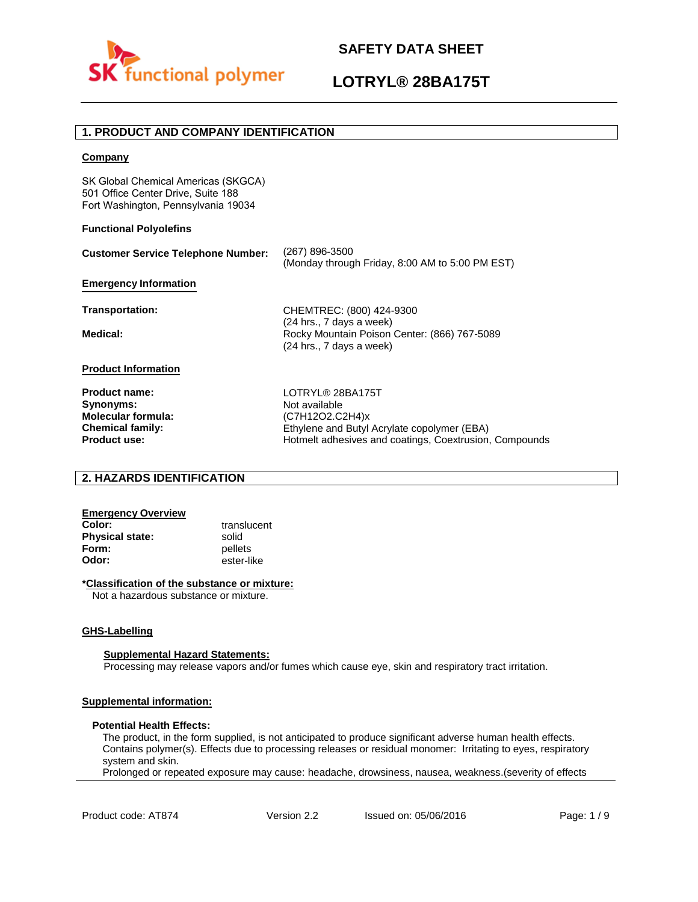

## **LOTRYL® 28BA175T**

## **1. PRODUCT AND COMPANY IDENTIFICATION**

### **Company**

SK Global Chemical Americas (SKGCA) 501 Office Center Drive, Suite 188 Fort Washington, Pennsylvania 19034

### **Functional Polyolefins**

| <b>Customer Service Telephone Number:</b> | (267) 896-3500<br>(Monday through Friday, 8:00 AM to 5:00 PM EST)                                    |
|-------------------------------------------|------------------------------------------------------------------------------------------------------|
| <b>Emergency Information</b>              |                                                                                                      |
| <b>Transportation:</b>                    | CHEMTREC: (800) 424-9300                                                                             |
| Medical:                                  | (24 hrs., 7 days a week)<br>Rocky Mountain Poison Center: (866) 767-5089<br>(24 hrs., 7 days a week) |
| <b>Product Information</b>                |                                                                                                      |
| <b>Product name:</b>                      | LOTRYL® 28BA175T                                                                                     |
| Synonyms:                                 | Not available                                                                                        |
| <b>Molecular formula:</b>                 | (C7H12O2.C2H4)x                                                                                      |
| <b>Chemical family:</b>                   | Ethylene and Butyl Acrylate copolymer (EBA)                                                          |
| <b>Product use:</b>                       | Hotmelt adhesives and coatings, Coextrusion, Compounds                                               |

## **2. HAZARDS IDENTIFICATION**

# **Emergency Overview**

**Physical state:** solid<br> **Form:** nellet **Form:** pellets<br> **Odor:** ester-li

**Color:** translucent **Odor:** ester-like

## **\*Classification of the substance or mixture:**

Not a hazardous substance or mixture.

#### **GHS-Labelling**

#### **Supplemental Hazard Statements:**

Processing may release vapors and/or fumes which cause eye, skin and respiratory tract irritation.

## **Supplemental information:**

#### **Potential Health Effects:**

The product, in the form supplied, is not anticipated to produce significant adverse human health effects. Contains polymer(s). Effects due to processing releases or residual monomer: Irritating to eyes, respiratory system and skin.

Prolonged or repeated exposure may cause: headache, drowsiness, nausea, weakness.(severity of effects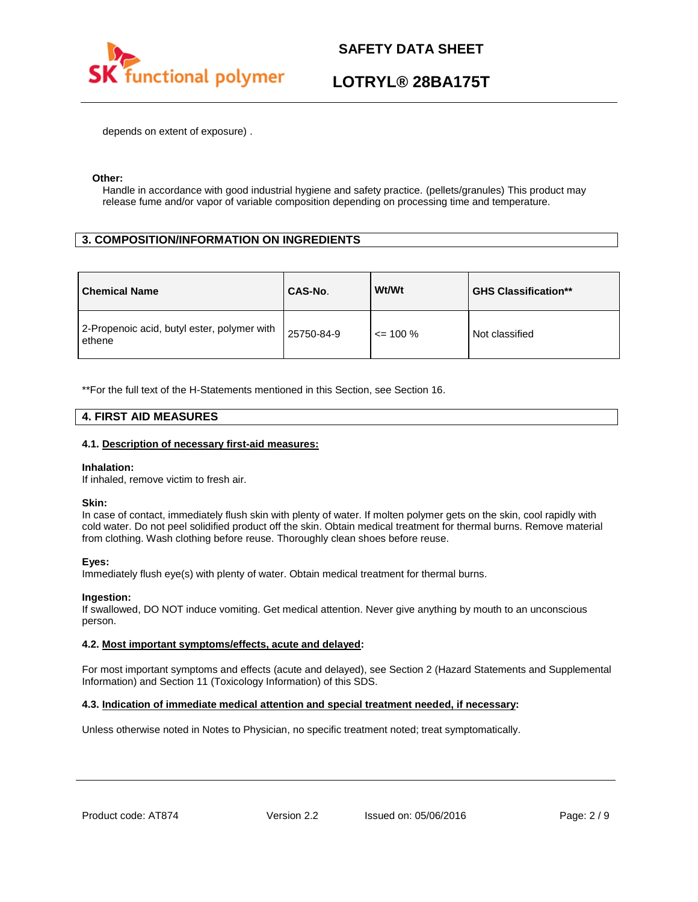

## **LOTRYL® 28BA175T**

depends on extent of exposure) .

### **Other:**

Handle in accordance with good industrial hygiene and safety practice. (pellets/granules) This product may release fume and/or vapor of variable composition depending on processing time and temperature.

## **3. COMPOSITION/INFORMATION ON INGREDIENTS**

| <b>Chemical Name</b>                                  | CAS-No.    | Wt/Wt        | <b>GHS Classification**</b> |
|-------------------------------------------------------|------------|--------------|-----------------------------|
| 2-Propenoic acid, butyl ester, polymer with<br>ethene | 25750-84-9 | $\leq$ 100 % | Not classified              |

\*\*For the full text of the H-Statements mentioned in this Section, see Section 16.

## **4. FIRST AID MEASURES**

### **4.1. Description of necessary first-aid measures:**

#### **Inhalation:**

If inhaled, remove victim to fresh air.

#### **Skin:**

In case of contact, immediately flush skin with plenty of water. If molten polymer gets on the skin, cool rapidly with cold water. Do not peel solidified product off the skin. Obtain medical treatment for thermal burns. Remove material from clothing. Wash clothing before reuse. Thoroughly clean shoes before reuse.

## **Eyes:**

Immediately flush eye(s) with plenty of water. Obtain medical treatment for thermal burns.

## **Ingestion:**

If swallowed, DO NOT induce vomiting. Get medical attention. Never give anything by mouth to an unconscious person.

## **4.2. Most important symptoms/effects, acute and delayed:**

For most important symptoms and effects (acute and delayed), see Section 2 (Hazard Statements and Supplemental Information) and Section 11 (Toxicology Information) of this SDS.

## **4.3. Indication of immediate medical attention and special treatment needed, if necessary:**

Unless otherwise noted in Notes to Physician, no specific treatment noted; treat symptomatically.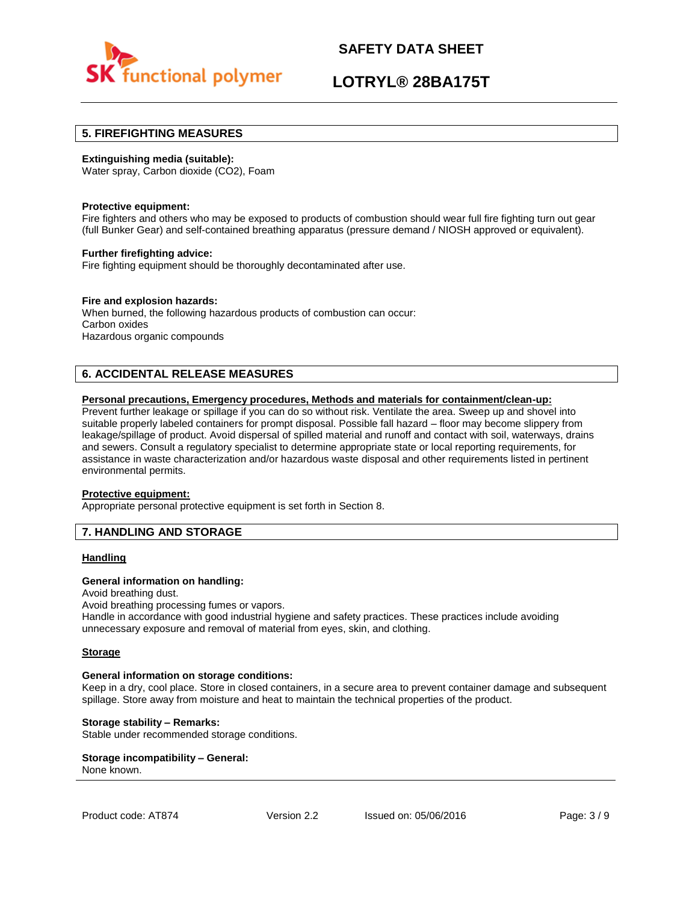

## **LOTRYL® 28BA175T**

## **5. FIREFIGHTING MEASURES**

### **Extinguishing media (suitable):**

Water spray, Carbon dioxide (CO2), Foam

#### **Protective equipment:**

Fire fighters and others who may be exposed to products of combustion should wear full fire fighting turn out gear (full Bunker Gear) and self-contained breathing apparatus (pressure demand / NIOSH approved or equivalent).

### **Further firefighting advice:**

Fire fighting equipment should be thoroughly decontaminated after use.

## **Fire and explosion hazards:**

When burned, the following hazardous products of combustion can occur: Carbon oxides Hazardous organic compounds

## **6. ACCIDENTAL RELEASE MEASURES**

### **Personal precautions, Emergency procedures, Methods and materials for containment/clean-up:**

Prevent further leakage or spillage if you can do so without risk. Ventilate the area. Sweep up and shovel into suitable properly labeled containers for prompt disposal. Possible fall hazard – floor may become slippery from leakage/spillage of product. Avoid dispersal of spilled material and runoff and contact with soil, waterways, drains and sewers. Consult a regulatory specialist to determine appropriate state or local reporting requirements, for assistance in waste characterization and/or hazardous waste disposal and other requirements listed in pertinent environmental permits.

#### **Protective equipment:**

Appropriate personal protective equipment is set forth in Section 8.

## **7. HANDLING AND STORAGE**

## **Handling**

#### **General information on handling:**

Avoid breathing dust.

Avoid breathing processing fumes or vapors.

Handle in accordance with good industrial hygiene and safety practices. These practices include avoiding unnecessary exposure and removal of material from eyes, skin, and clothing.

#### **Storage**

#### **General information on storage conditions:**

Keep in a dry, cool place. Store in closed containers, in a secure area to prevent container damage and subsequent spillage. Store away from moisture and heat to maintain the technical properties of the product.

### **Storage stability – Remarks:**

Stable under recommended storage conditions.

#### **Storage incompatibility – General:**  None known.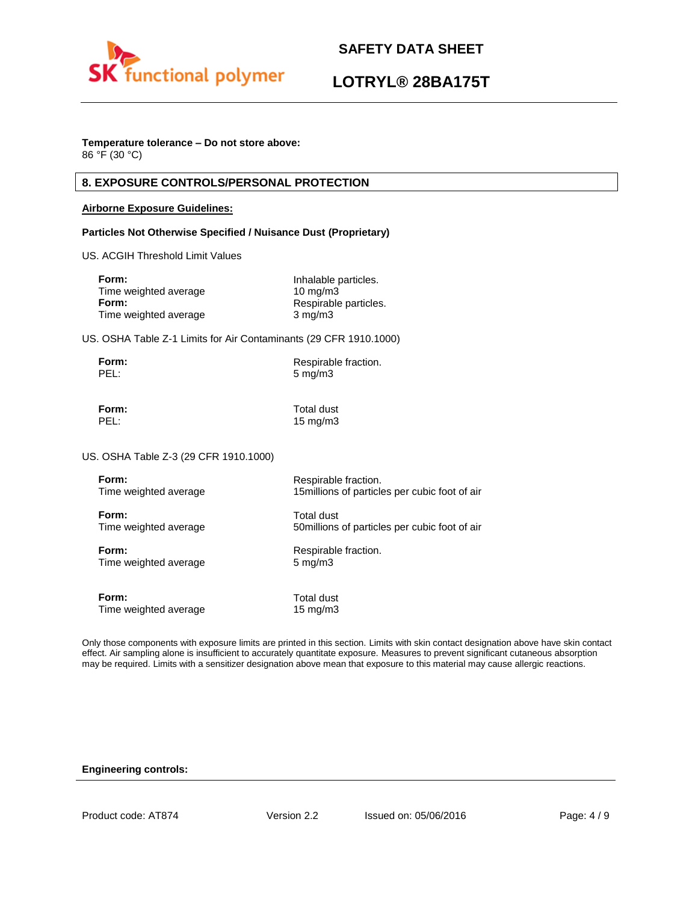

## **LOTRYL® 28BA175T**

## **Temperature tolerance – Do not store above:**

86 °F (30 °C)

## **8. EXPOSURE CONTROLS/PERSONAL PROTECTION**

## **Airborne Exposure Guidelines:**

## **Particles Not Otherwise Specified / Nuisance Dust (Proprietary)**

US. ACGIH Threshold Limit Values

| Form:                 | Inhalable particles.  |
|-----------------------|-----------------------|
| Time weighted average | $10 \text{ ma/m}$ 3   |
| Form:                 | Respirable particles. |
| Time weighted average | $3 \text{ mg/m}$      |

US. OSHA Table Z-1 Limits for Air Contaminants (29 CFR 1910.1000)

| Form: | Respirable fraction. |
|-------|----------------------|
| PEL:  | $5 \,\mathrm{mg/m}$  |

**Form:** Total dust PEL: 15 mg/m3

US. OSHA Table Z-3 (29 CFR 1910.1000)

| Form:                 | Respirable fraction.                           |
|-----------------------|------------------------------------------------|
| Time weighted average | 15 millions of particles per cubic foot of air |
| Form:                 | Total dust                                     |
| Time weighted average | 50 millions of particles per cubic foot of air |
| Form:                 | Respirable fraction.                           |
| Time weighted average | $5 \text{ mg/m}$                               |
| Form:                 | Total dust                                     |
| Time weighted average | $15 \text{ mg/m}$                              |

Only those components with exposure limits are printed in this section. Limits with skin contact designation above have skin contact effect. Air sampling alone is insufficient to accurately quantitate exposure. Measures to prevent significant cutaneous absorption may be required. Limits with a sensitizer designation above mean that exposure to this material may cause allergic reactions.

## **Engineering controls:**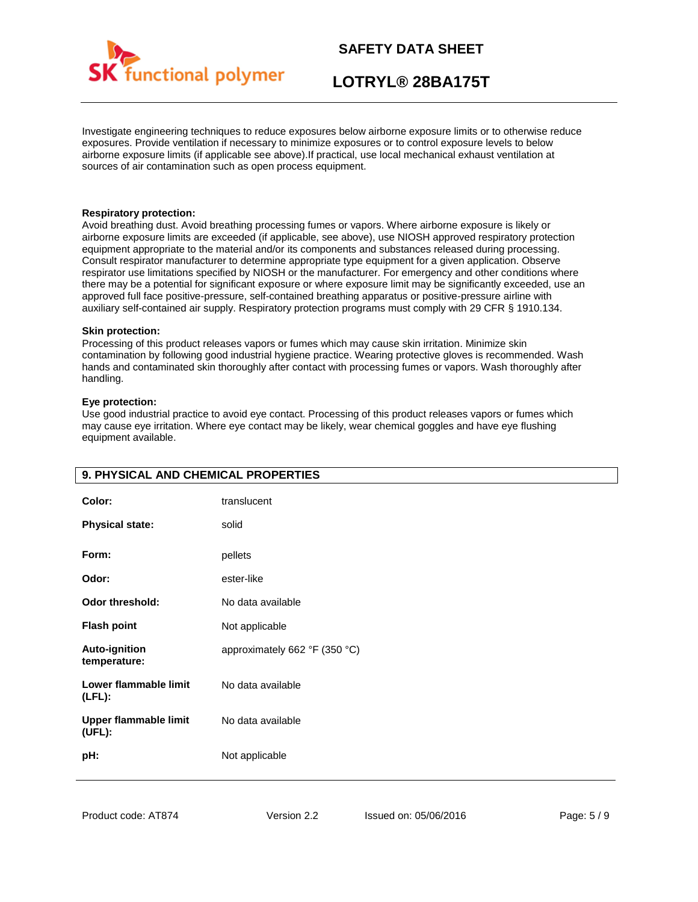

## **LOTRYL® 28BA175T**

Investigate engineering techniques to reduce exposures below airborne exposure limits or to otherwise reduce exposures. Provide ventilation if necessary to minimize exposures or to control exposure levels to below airborne exposure limits (if applicable see above).If practical, use local mechanical exhaust ventilation at sources of air contamination such as open process equipment.

### **Respiratory protection:**

Avoid breathing dust. Avoid breathing processing fumes or vapors. Where airborne exposure is likely or airborne exposure limits are exceeded (if applicable, see above), use NIOSH approved respiratory protection equipment appropriate to the material and/or its components and substances released during processing. Consult respirator manufacturer to determine appropriate type equipment for a given application. Observe respirator use limitations specified by NIOSH or the manufacturer. For emergency and other conditions where there may be a potential for significant exposure or where exposure limit may be significantly exceeded, use an approved full face positive-pressure, self-contained breathing apparatus or positive-pressure airline with auxiliary self-contained air supply. Respiratory protection programs must comply with 29 CFR § 1910.134.

### **Skin protection:**

Processing of this product releases vapors or fumes which may cause skin irritation. Minimize skin contamination by following good industrial hygiene practice. Wearing protective gloves is recommended. Wash hands and contaminated skin thoroughly after contact with processing fumes or vapors. Wash thoroughly after handling.

## **Eye protection:**

Use good industrial practice to avoid eye contact. Processing of this product releases vapors or fumes which may cause eye irritation. Where eye contact may be likely, wear chemical goggles and have eye flushing equipment available.

| Color:<br><b>Physical state:</b>     | translucent<br>solid          |
|--------------------------------------|-------------------------------|
| Form:                                | pellets                       |
| Odor:                                | ester-like                    |
| Odor threshold:                      | No data available             |
| <b>Flash point</b>                   | Not applicable                |
| <b>Auto-ignition</b><br>temperature: | approximately 662 °F (350 °C) |
| Lower flammable limit<br>$(LFL)$ :   | No data available             |
| Upper flammable limit<br>(UEL):      | No data available             |
| pH:                                  | Not applicable                |

## **9. PHYSICAL AND CHEMICAL PROPERTIES**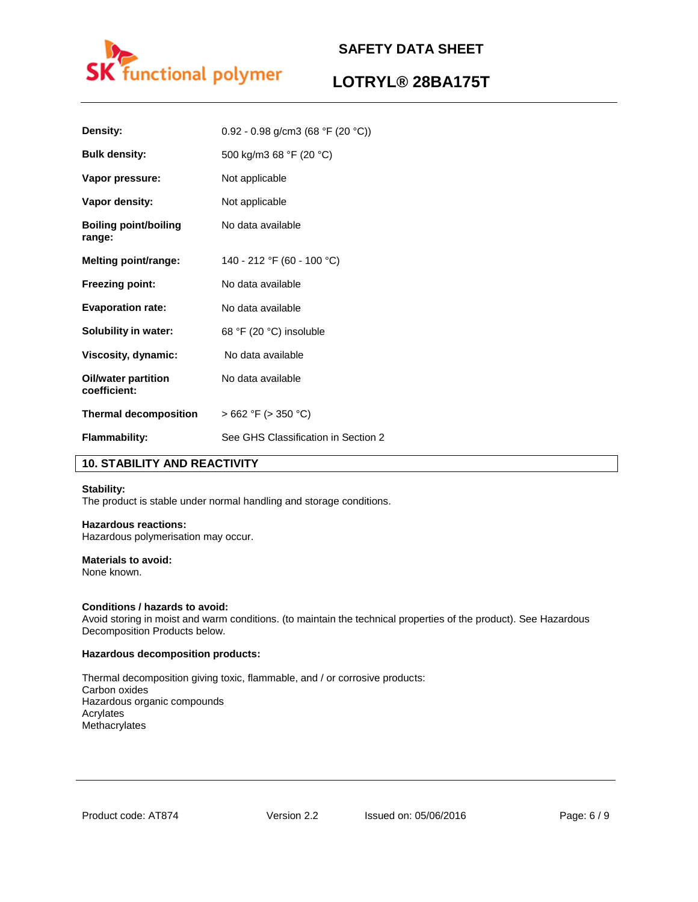

## **LOTRYL® 28BA175T**

| Density:                               | 0.92 - 0.98 g/cm3 (68 °F (20 °C))   |
|----------------------------------------|-------------------------------------|
| <b>Bulk density:</b>                   | 500 kg/m3 68 °F (20 °C)             |
| Vapor pressure:                        | Not applicable                      |
| Vapor density:                         | Not applicable                      |
| <b>Boiling point/boiling</b><br>range: | No data available                   |
| Melting point/range:                   | 140 - 212 °F (60 - 100 °C)          |
| <b>Freezing point:</b>                 | No data available                   |
| <b>Evaporation rate:</b>               | No data available                   |
| <b>Solubility in water:</b>            | 68 °F (20 °C) insoluble             |
| Viscosity, dynamic:                    | No data available                   |
| Oil/water partition<br>coefficient:    | No data available                   |
| <b>Thermal decomposition</b>           | $>662$ °F ( $>350$ °C)              |
| <b>Flammability:</b>                   | See GHS Classification in Section 2 |

## **10. STABILITY AND REACTIVITY**

## **Stability:**

The product is stable under normal handling and storage conditions.

## **Hazardous reactions:**

Hazardous polymerisation may occur.

## **Materials to avoid:**

None known.

## **Conditions / hazards to avoid:**

Avoid storing in moist and warm conditions. (to maintain the technical properties of the product). See Hazardous Decomposition Products below.

#### **Hazardous decomposition products:**

Thermal decomposition giving toxic, flammable, and / or corrosive products: Carbon oxides Hazardous organic compounds Acrylates Methacrylates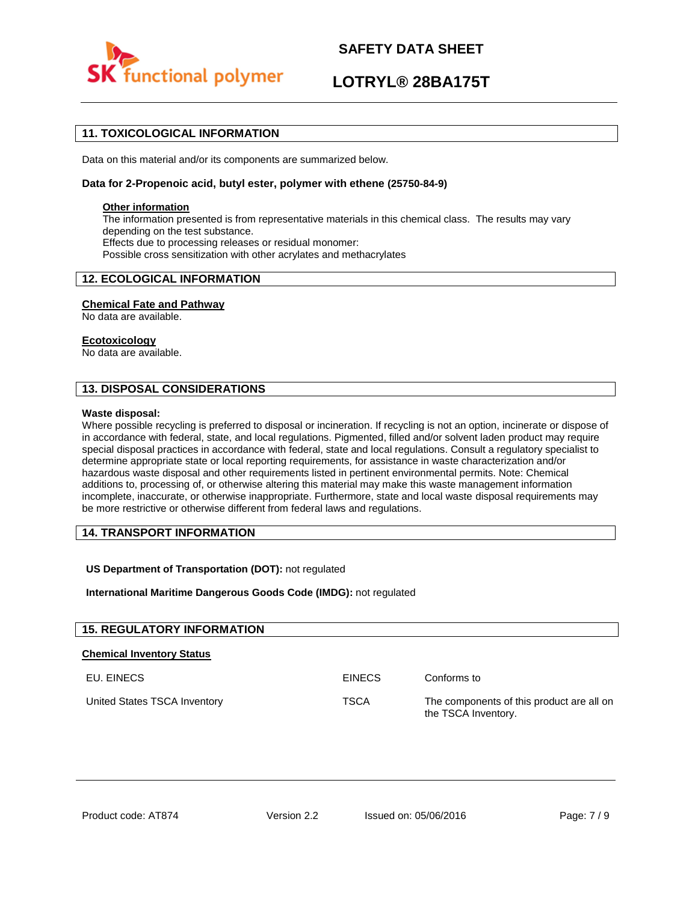

## **LOTRYL® 28BA175T**

## **11. TOXICOLOGICAL INFORMATION**

Data on this material and/or its components are summarized below.

### **Data for 2-Propenoic acid, butyl ester, polymer with ethene (25750-84-9)**

### **Other information**

The information presented is from representative materials in this chemical class. The results may vary depending on the test substance. Effects due to processing releases or residual monomer: Possible cross sensitization with other acrylates and methacrylates

## **12. ECOLOGICAL INFORMATION**

### **Chemical Fate and Pathway**

No data are available.

### **Ecotoxicology**

No data are available.

## **13. DISPOSAL CONSIDERATIONS**

#### **Waste disposal:**

Where possible recycling is preferred to disposal or incineration. If recycling is not an option, incinerate or dispose of in accordance with federal, state, and local regulations. Pigmented, filled and/or solvent laden product may require special disposal practices in accordance with federal, state and local regulations. Consult a regulatory specialist to determine appropriate state or local reporting requirements, for assistance in waste characterization and/or hazardous waste disposal and other requirements listed in pertinent environmental permits. Note: Chemical additions to, processing of, or otherwise altering this material may make this waste management information incomplete, inaccurate, or otherwise inappropriate. Furthermore, state and local waste disposal requirements may be more restrictive or otherwise different from federal laws and regulations.

## **14. TRANSPORT INFORMATION**

## **US Department of Transportation (DOT):** not regulated

**International Maritime Dangerous Goods Code (IMDG):** not regulated

| <b>15. REGULATORY INFORMATION</b> |               |                                                                  |
|-----------------------------------|---------------|------------------------------------------------------------------|
| <b>Chemical Inventory Status</b>  |               |                                                                  |
| EU. EINECS                        | <b>EINECS</b> | Conforms to                                                      |
| United States TSCA Inventory      | <b>TSCA</b>   | The components of this product are all on<br>the TSCA Inventory. |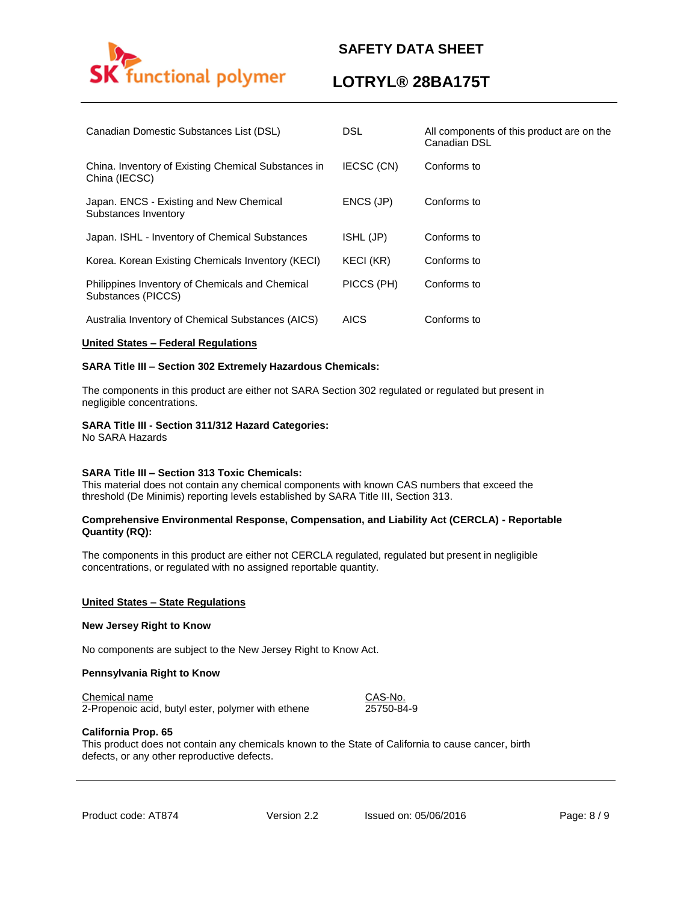

## **LOTRYL® 28BA175T**

| Canadian Domestic Substances List (DSL)                               | <b>DSL</b>  | All components of this product are on the<br>Canadian DSL |
|-----------------------------------------------------------------------|-------------|-----------------------------------------------------------|
| China. Inventory of Existing Chemical Substances in<br>China (IECSC)  | IECSC (CN)  | Conforms to                                               |
| Japan. ENCS - Existing and New Chemical<br>Substances Inventory       | ENCS (JP)   | Conforms to                                               |
| Japan. ISHL - Inventory of Chemical Substances                        | ISHL (JP)   | Conforms to                                               |
| Korea. Korean Existing Chemicals Inventory (KECI)                     | KECI (KR)   | Conforms to                                               |
| Philippines Inventory of Chemicals and Chemical<br>Substances (PICCS) | PICCS (PH)  | Conforms to                                               |
| Australia Inventory of Chemical Substances (AICS)                     | <b>AICS</b> | Conforms to                                               |

### **United States – Federal Regulations**

### **SARA Title III – Section 302 Extremely Hazardous Chemicals:**

The components in this product are either not SARA Section 302 regulated or regulated but present in negligible concentrations.

### **SARA Title III - Section 311/312 Hazard Categories:**

No SARA Hazards

#### **SARA Title III – Section 313 Toxic Chemicals:**

This material does not contain any chemical components with known CAS numbers that exceed the threshold (De Minimis) reporting levels established by SARA Title III, Section 313.

### **Comprehensive Environmental Response, Compensation, and Liability Act (CERCLA) - Reportable Quantity (RQ):**

The components in this product are either not CERCLA regulated, regulated but present in negligible concentrations, or regulated with no assigned reportable quantity.

#### **United States – State Regulations**

#### **New Jersey Right to Know**

No components are subject to the New Jersey Right to Know Act.

#### **Pennsylvania Right to Know**

#### Chemical name CAS-No.

2-Propenoic acid, butyl ester, polymer with ethene 25750-84-9

#### **California Prop. 65**

This product does not contain any chemicals known to the State of California to cause cancer, birth defects, or any other reproductive defects.

Product code: AT874 Version 2.2 Issued on: 05/06/2016 Page: 8/9